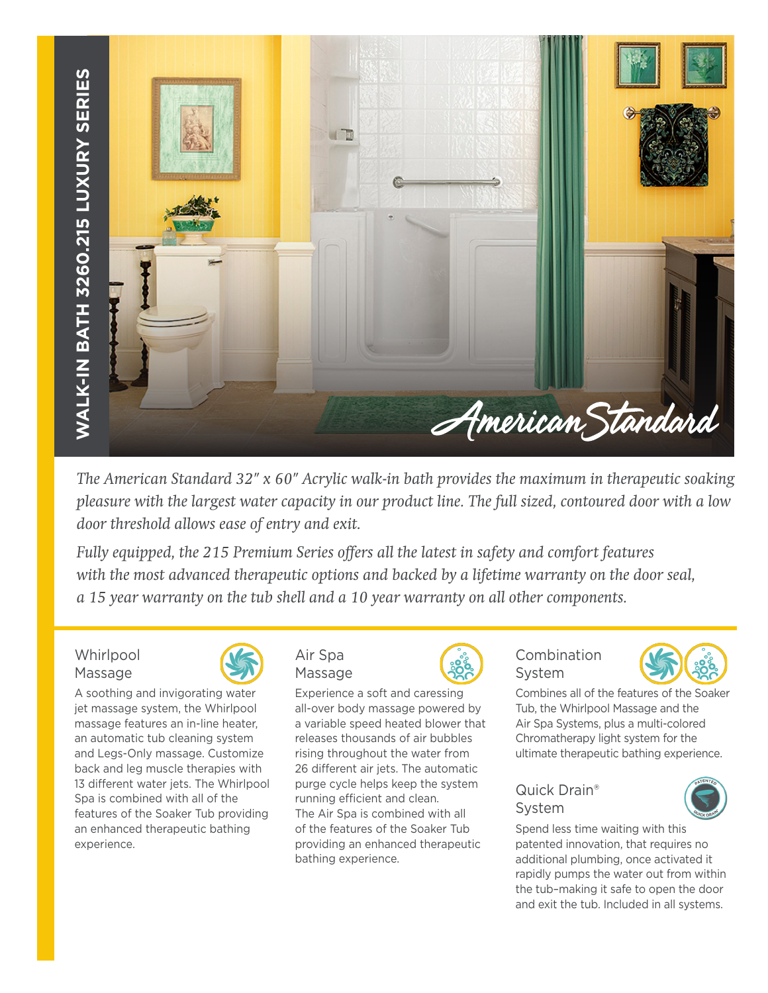

*The American Standard 32" x 60" Acrylic walk-in bath provides the maximum in therapeutic soaking pleasure with the largest water capacity in our product line. The full sized, contoured door with a low door threshold allows ease of entry and exit.* 

*Fully equipped, the 215 Premium Series offers all the latest in safety and comfort features with the most advanced therapeutic options and backed by a lifetime warranty on the door seal, a 15 year warranty on the tub shell and a 10 year warranty on all other components.*

**Whirlpool** Massage



A soothing and invigorating water jet massage system, the Whirlpool massage features an in-line heater, an automatic tub cleaning system and Legs-Only massage. Customize back and leg muscle therapies with 13 different water jets. The Whirlpool Spa is combined with all of the features of the Soaker Tub providing an enhanced therapeutic bathing experience.



Experience a soft and caressing all-over body massage powered by a variable speed heated blower that releases thousands of air bubbles rising throughout the water from 26 different air jets. The automatic purge cycle helps keep the system running efficient and clean. The Air Spa is combined with all of the features of the Soaker Tub providing an enhanced therapeutic bathing experience.



# Combination System



Combines all of the features of the Soaker Tub, the Whirlpool Massage and the Air Spa Systems, plus a multi-colored Chromatherapy light system for the ultimate therapeutic bathing experience.

# Quick Drain® System



Spend less time waiting with this patented innovation, that requires no additional plumbing, once activated it rapidly pumps the water out from within the tub–making it safe to open the door and exit the tub. Included in all systems.